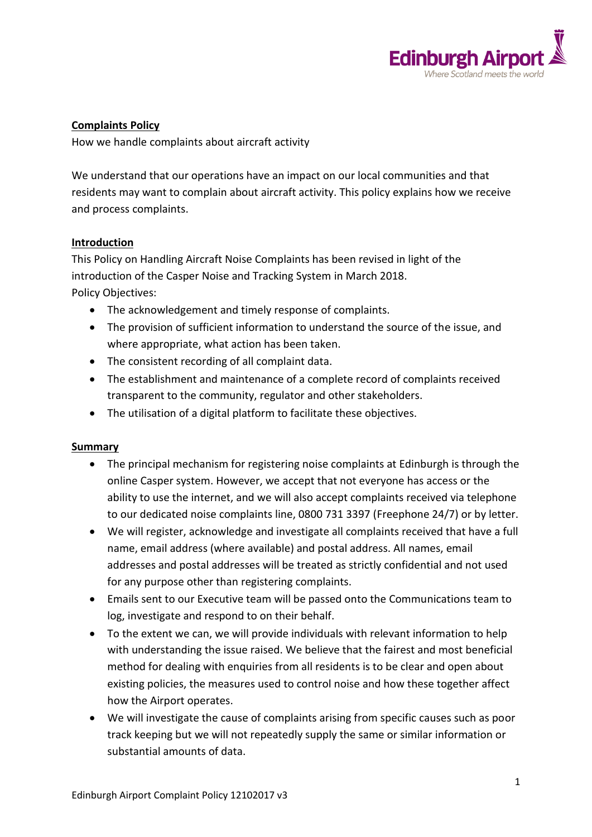

### **Complaints Policy**

How we handle complaints about aircraft activity

We understand that our operations have an impact on our local communities and that residents may want to complain about aircraft activity. This policy explains how we receive and process complaints.

### **Introduction**

This Policy on Handling Aircraft Noise Complaints has been revised in light of the introduction of the Casper Noise and Tracking System in March 2018. Policy Objectives:

- The acknowledgement and timely response of complaints.
- The provision of sufficient information to understand the source of the issue, and where appropriate, what action has been taken.
- The consistent recording of all complaint data.
- The establishment and maintenance of a complete record of complaints received transparent to the community, regulator and other stakeholders.
- The utilisation of a digital platform to facilitate these objectives.

#### **Summary**

- The principal mechanism for registering noise complaints at Edinburgh is through the online Casper system. However, we accept that not everyone has access or the ability to use the internet, and we will also accept complaints received via telephone to our dedicated noise complaints line, 0800 731 3397 (Freephone 24/7) or by letter.
- We will register, acknowledge and investigate all complaints received that have a full name, email address (where available) and postal address. All names, email addresses and postal addresses will be treated as strictly confidential and not used for any purpose other than registering complaints.
- Emails sent to our Executive team will be passed onto the Communications team to log, investigate and respond to on their behalf.
- To the extent we can, we will provide individuals with relevant information to help with understanding the issue raised. We believe that the fairest and most beneficial method for dealing with enquiries from all residents is to be clear and open about existing policies, the measures used to control noise and how these together affect how the Airport operates.
- We will investigate the cause of complaints arising from specific causes such as poor track keeping but we will not repeatedly supply the same or similar information or substantial amounts of data.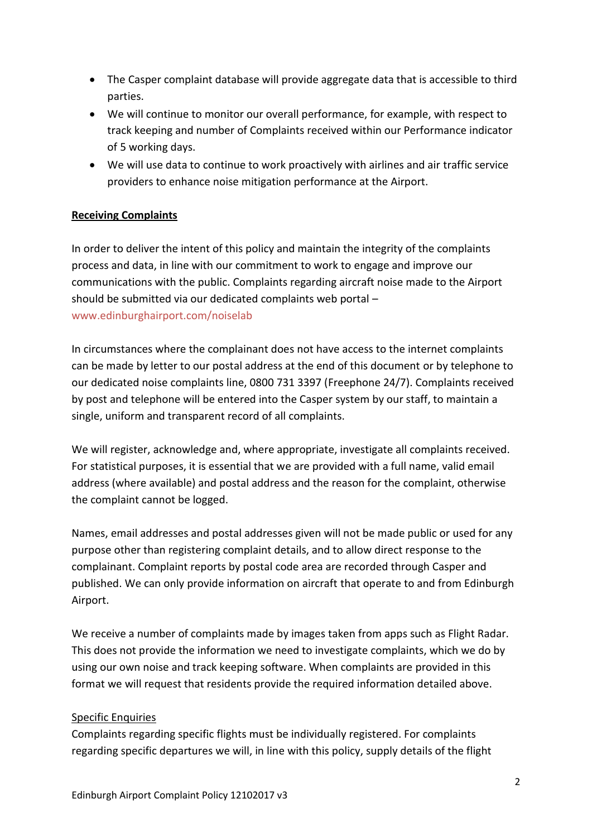- The Casper complaint database will provide aggregate data that is accessible to third parties.
- We will continue to monitor our overall performance, for example, with respect to track keeping and number of Complaints received within our Performance indicator of 5 working days.
- We will use data to continue to work proactively with airlines and air traffic service providers to enhance noise mitigation performance at the Airport.

## **Receiving Complaints**

In order to deliver the intent of this policy and maintain the integrity of the complaints process and data, in line with our commitment to work to engage and improve our communications with the public. Complaints regarding aircraft noise made to the Airport should be submitted via our dedicated complaints web portal – www.edinburghairport.com/noiselab

In circumstances where the complainant does not have access to the internet complaints can be made by letter to our postal address at the end of this document or by telephone to our dedicated noise complaints line, 0800 731 3397 (Freephone 24/7). Complaints received by post and telephone will be entered into the Casper system by our staff, to maintain a single, uniform and transparent record of all complaints.

We will register, acknowledge and, where appropriate, investigate all complaints received. For statistical purposes, it is essential that we are provided with a full name, valid email address (where available) and postal address and the reason for the complaint, otherwise the complaint cannot be logged.

Names, email addresses and postal addresses given will not be made public or used for any purpose other than registering complaint details, and to allow direct response to the complainant. Complaint reports by postal code area are recorded through Casper and published. We can only provide information on aircraft that operate to and from Edinburgh Airport.

We receive a number of complaints made by images taken from apps such as Flight Radar. This does not provide the information we need to investigate complaints, which we do by using our own noise and track keeping software. When complaints are provided in this format we will request that residents provide the required information detailed above.

## Specific Enquiries

Complaints regarding specific flights must be individually registered. For complaints regarding specific departures we will, in line with this policy, supply details of the flight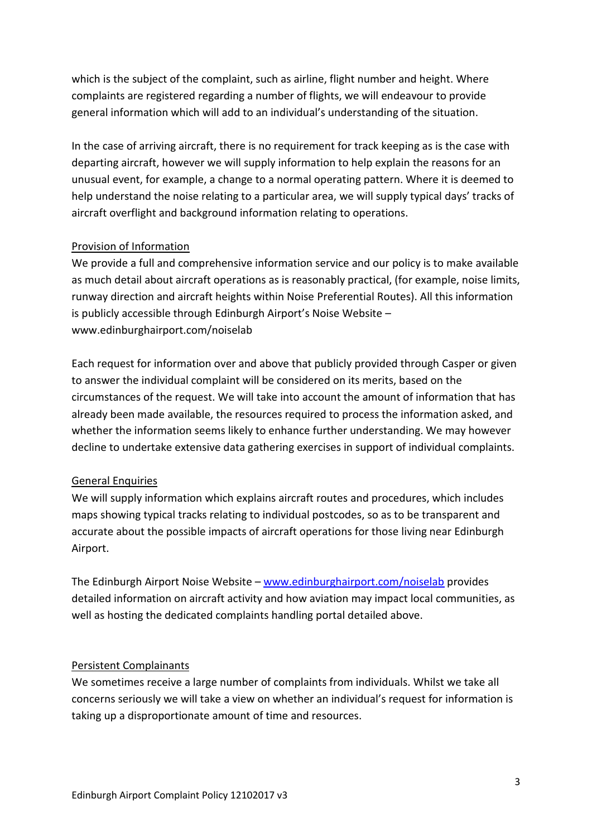which is the subject of the complaint, such as airline, flight number and height. Where complaints are registered regarding a number of flights, we will endeavour to provide general information which will add to an individual's understanding of the situation.

In the case of arriving aircraft, there is no requirement for track keeping as is the case with departing aircraft, however we will supply information to help explain the reasons for an unusual event, for example, a change to a normal operating pattern. Where it is deemed to help understand the noise relating to a particular area, we will supply typical days' tracks of aircraft overflight and background information relating to operations.

### Provision of Information

We provide a full and comprehensive information service and our policy is to make available as much detail about aircraft operations as is reasonably practical, (for example, noise limits, runway direction and aircraft heights within Noise Preferential Routes). All this information is publicly accessible through Edinburgh Airport's Noise Website – www.edinburghairport.com/noiselab

Each request for information over and above that publicly provided through Casper or given to answer the individual complaint will be considered on its merits, based on the circumstances of the request. We will take into account the amount of information that has already been made available, the resources required to process the information asked, and whether the information seems likely to enhance further understanding. We may however decline to undertake extensive data gathering exercises in support of individual complaints.

#### General Enquiries

We will supply information which explains aircraft routes and procedures, which includes maps showing typical tracks relating to individual postcodes, so as to be transparent and accurate about the possible impacts of aircraft operations for those living near Edinburgh Airport.

The Edinburgh Airport Noise Website – [www.edinburghairport.com/noiselab](http://www.edinburghairport.com/noiselab) provides detailed information on aircraft activity and how aviation may impact local communities, as well as hosting the dedicated complaints handling portal detailed above.

#### Persistent Complainants

We sometimes receive a large number of complaints from individuals. Whilst we take all concerns seriously we will take a view on whether an individual's request for information is taking up a disproportionate amount of time and resources.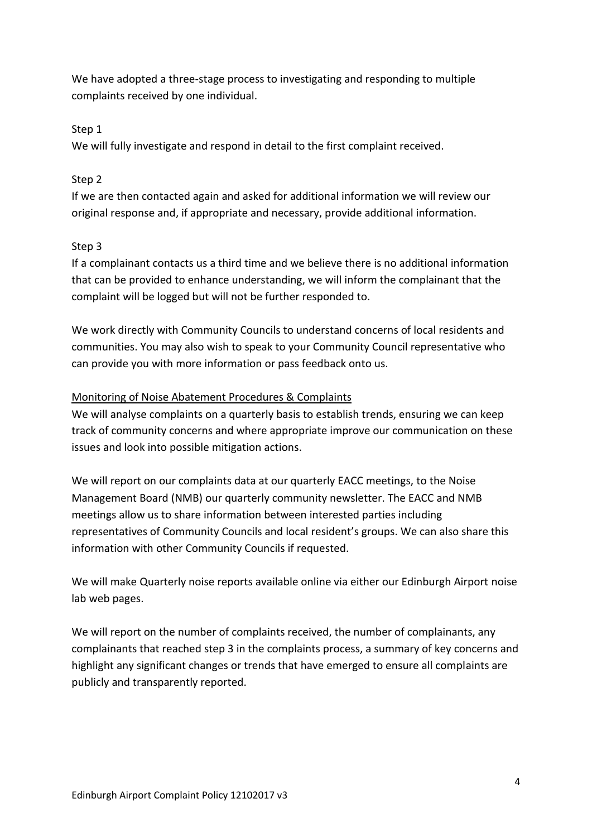We have adopted a three-stage process to investigating and responding to multiple complaints received by one individual.

## Step 1

We will fully investigate and respond in detail to the first complaint received.

## Step 2

If we are then contacted again and asked for additional information we will review our original response and, if appropriate and necessary, provide additional information.

# Step 3

If a complainant contacts us a third time and we believe there is no additional information that can be provided to enhance understanding, we will inform the complainant that the complaint will be logged but will not be further responded to.

We work directly with Community Councils to understand concerns of local residents and communities. You may also wish to speak to your Community Council representative who can provide you with more information or pass feedback onto us.

# Monitoring of Noise Abatement Procedures & Complaints

We will analyse complaints on a quarterly basis to establish trends, ensuring we can keep track of community concerns and where appropriate improve our communication on these issues and look into possible mitigation actions.

We will report on our complaints data at our quarterly EACC meetings, to the Noise Management Board (NMB) our quarterly community newsletter. The EACC and NMB meetings allow us to share information between interested parties including representatives of Community Councils and local resident's groups. We can also share this information with other Community Councils if requested.

We will make Quarterly noise reports available online via either our Edinburgh Airport noise lab web pages.

We will report on the number of complaints received, the number of complainants, any complainants that reached step 3 in the complaints process, a summary of key concerns and highlight any significant changes or trends that have emerged to ensure all complaints are publicly and transparently reported.